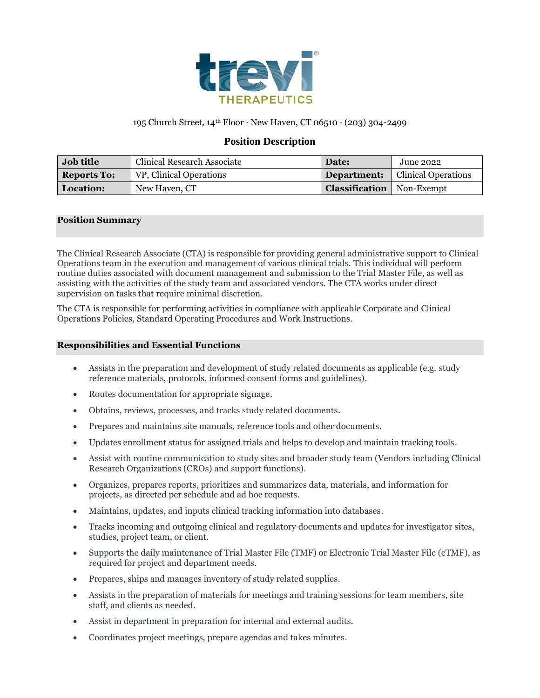

# 195 Church Street, 14th Floor ∙ New Haven, CT 06510 ∙ (203) 304-2499

## **Position Description**

| <b>Job title</b>   | Clinical Research Associate | Date:                              | <b>June 2022</b>           |
|--------------------|-----------------------------|------------------------------------|----------------------------|
| <b>Reports To:</b> | VP, Clinical Operations     | Department:                        | <b>Clinical Operations</b> |
| <b>Location:</b>   | New Haven, CT               | <b>Classification</b>   Non-Exempt |                            |

### **Position Summary**

The Clinical Research Associate (CTA) is responsible for providing general administrative support to Clinical Operations team in the execution and management of various clinical trials. This individual will perform routine duties associated with document management and submission to the Trial Master File, as well as assisting with the activities of the study team and associated vendors. The CTA works under direct supervision on tasks that require minimal discretion.

The CTA is responsible for performing activities in compliance with applicable Corporate and Clinical Operations Policies, Standard Operating Procedures and Work Instructions.

#### **Responsibilities and Essential Functions**

- Assists in the preparation and development of study related documents as applicable (e.g. study reference materials, protocols, informed consent forms and guidelines).
- Routes documentation for appropriate signage.
- Obtains, reviews, processes, and tracks study related documents.
- Prepares and maintains site manuals, reference tools and other documents.
- Updates enrollment status for assigned trials and helps to develop and maintain tracking tools.
- Assist with routine communication to study sites and broader study team (Vendors including Clinical Research Organizations (CROs) and support functions).
- Organizes, prepares reports, prioritizes and summarizes data, materials, and information for projects, as directed per schedule and ad hoc requests.
- Maintains, updates, and inputs clinical tracking information into databases.
- Tracks incoming and outgoing clinical and regulatory documents and updates for investigator sites, studies, project team, or client.
- Supports the daily maintenance of Trial Master File (TMF) or Electronic Trial Master File (eTMF), as required for project and department needs.
- Prepares, ships and manages inventory of study related supplies.
- Assists in the preparation of materials for meetings and training sessions for team members, site staff, and clients as needed.
- Assist in department in preparation for internal and external audits.
- Coordinates project meetings, prepare agendas and takes minutes.